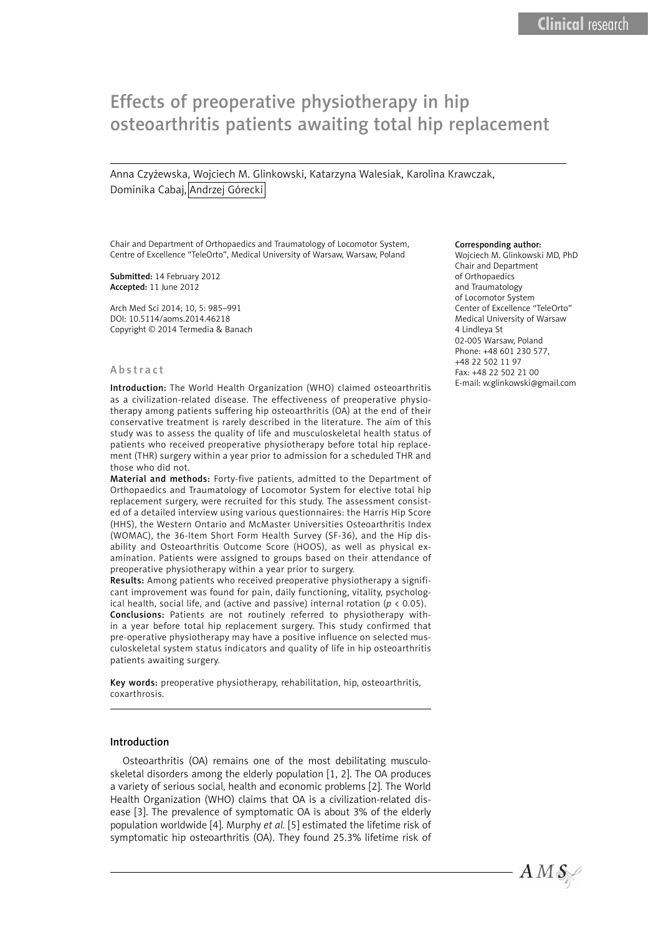# Effects of preoperative physiotherapy in hip osteoarthritis patients awaiting total hip replacement

Anna Czyżewska, Wojciech M. Glinkowski, Katarzyna Walesiak, Karolina Krawczak, Dominika Cabai, Andrzej Górecki

Chair and Department of Orthopaedics and Traumatology of Locomotor System, Centre of Excellence "TeleOrto", Medical University of Warsaw, Warsaw, Poland

Submitted: 14 February 2012 Accepted: 11 June 2012

Arch Med Sci 2014; 10, 5: 985–991 DOI: 10.5114/aoms.2014.46218 Copyright © 2014 Termedia & Banach

#### Abstract

Introduction: The World Health Organization (WHO) claimed osteoarthritis as a civilization-related disease. The effectiveness of preoperative physiotherapy among patients suffering hip osteoarthritis (OA) at the end of their conservative treatment is rarely described in the literature. The aim of this study was to assess the quality of life and musculoskeletal health status of patients who received preoperative physiotherapy before total hip replacement (THR) surgery within a year prior to admission for a scheduled THR and those who did not.

Material and methods: Forty-five patients, admitted to the Department of Orthopaedics and Traumatology of Locomotor System for elective total hip replacement surgery, were recruited for this study. The assessment consisted of a detailed interview using various questionnaires: the Harris Hip Score (HHS), the Western Ontario and McMaster Universities Osteoarthritis Index (WOMAC), the 36-Item Short Form Health Survey (SF-36), and the Hip disability and Osteoarthritis Outcome Score (HOOS), as well as physical examination. Patients were assigned to groups based on their attendance of preoperative physiotherapy within a year prior to surgery.

Results: Among patients who received preoperative physiotherapy a significant improvement was found for pain, daily functioning, vitality, psychological health, social life, and (active and passive) internal rotation ( $p < 0.05$ ). Conclusions: Patients are not routinely referred to physiotherapy within a year before total hip replacement surgery. This study confirmed that pre-operative physiotherapy may have a positive influence on selected musculoskeletal system status indicators and quality of life in hip osteoarthritis patients awaiting surgery.

Key words: preoperative physiotherapy, rehabilitation, hip, osteoarthritis, coxarthrosis.

### Introduction

Osteoarthritis (OA) remains one of the most debilitating musculoskeletal disorders among the elderly population [1, 2]. The OA produces a variety of serious social, health and economic problems [2]. The World Health Organization (WHO) claims that OA is a civilization-related disease [3]. The prevalence of symptomatic OA is about 3% of the elderly population worldwide [4]. Murphy *et al.* [5] estimated the lifetime risk of symptomatic hip osteoarthritis (OA). They found 25.3% lifetime risk of

#### Corresponding author:

Wojciech M. Glinkowski MD, PhD Chair and Department of Orthopaedics and Traumatology of Locomotor System Center of Excellence "TeleOrto" Medical University of Warsaw 4 Lindleya St 02-005 Warsaw, Poland Phone: +48 601 230 577, +48 22 502 11 97 Fax: +48 22 502 21 00 E-mail: w.glinkowski@gmail.com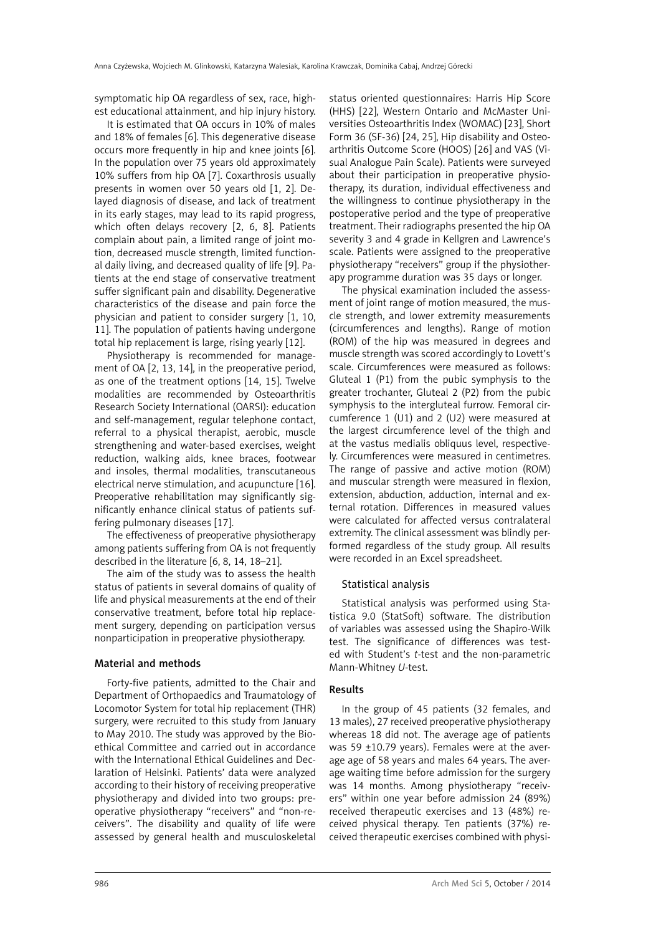symptomatic hip OA regardless of sex, race, highest educational attainment, and hip injury history.

It is estimated that OA occurs in 10% of males and 18% of females [6]. This degenerative disease occurs more frequently in hip and knee joints [6]. In the population over 75 years old approximately 10% suffers from hip OA [7]. Coxarthrosis usually presents in women over 50 years old [1, 2]. Delayed diagnosis of disease, and lack of treatment in its early stages, may lead to its rapid progress, which often delays recovery [2, 6, 8]. Patients complain about pain, a limited range of joint motion, decreased muscle strength, limited functional daily living, and decreased quality of life [9]. Patients at the end stage of conservative treatment suffer significant pain and disability. Degenerative characteristics of the disease and pain force the physician and patient to consider surgery [1, 10, 11]. The population of patients having undergone total hip replacement is large, rising yearly [12].

Physiotherapy is recommended for management of OA [2, 13, 14], in the preoperative period, as one of the treatment options [14, 15]. Twelve modalities are recommended by Osteoarthritis Research Society International (OARSI): education and self-management, regular telephone contact, referral to a physical therapist, aerobic, muscle strengthening and water-based exercises, weight reduction, walking aids, knee braces, footwear and insoles, thermal modalities, transcutaneous electrical nerve stimulation, and acupuncture [16]. Preoperative rehabilitation may significantly significantly enhance clinical status of patients suffering pulmonary diseases [17].

The effectiveness of preoperative physiotherapy among patients suffering from OA is not frequently described in the literature [6, 8, 14, 18–21].

The aim of the study was to assess the health status of patients in several domains of quality of life and physical measurements at the end of their conservative treatment, before total hip replacement surgery, depending on participation versus nonparticipation in preoperative physiotherapy.

# Material and methods

Forty-five patients, admitted to the Chair and Department of Orthopaedics and Traumatology of Locomotor System for total hip replacement (THR) surgery, were recruited to this study from January to May 2010. The study was approved by the Bioethical Committee and carried out in accordance with the International Ethical Guidelines and Declaration of Helsinki. Patients' data were analyzed according to their history of receiving preoperative physiotherapy and divided into two groups: preoperative physiotherapy "receivers" and "non-receivers". The disability and quality of life were assessed by general health and musculoskeletal status oriented questionnaires: Harris Hip Score (HHS) [22], Western Ontario and McMaster Universities Osteoarthritis Index (WOMAC) [23], Short Form 36 (SF-36) [24, 25], Hip disability and Osteoarthritis Outcome Score (HOOS) [26] and VAS (Visual Analogue Pain Scale). Patients were surveyed about their participation in preoperative physiotherapy, its duration, individual effectiveness and the willingness to continue physiotherapy in the postoperative period and the type of preoperative treatment. Their radiographs presented the hip OA severity 3 and 4 grade in Kellgren and Lawrence's scale. Patients were assigned to the preoperative physiotherapy "receivers" group if the physiotherapy programme duration was 35 days or longer.

The physical examination included the assessment of joint range of motion measured, the muscle strength, and lower extremity measurements (circumferences and lengths). Range of motion (ROM) of the hip was measured in degrees and muscle strength was scored accordingly to Lovett's scale. Circumferences were measured as follows: Gluteal 1 (P1) from the pubic symphysis to the greater trochanter, Gluteal 2 (P2) from the pubic symphysis to the intergluteal furrow. Femoral circumference 1 (U1) and 2 (U2) were measured at the largest circumference level of the thigh and at the vastus medialis obliquus level, respectively. Circumferences were measured in centimetres. The range of passive and active motion (ROM) and muscular strength were measured in flexion, extension, abduction, adduction, internal and external rotation. Differences in measured values were calculated for affected versus contralateral extremity. The clinical assessment was blindly performed regardless of the study group. All results were recorded in an Excel spreadsheet.

# Statistical analysis

Statistical analysis was performed using Statistica 9.0 (StatSoft) software. The distribution of variables was assessed using the Shapiro-Wilk test. The significance of differences was tested with Student's *t*-test and the non-parametric Mann-Whitney *U*-test.

# Results

In the group of 45 patients (32 females, and 13 males), 27 received preoperative physiotherapy whereas 18 did not. The average age of patients was 59 ±10.79 years). Females were at the average age of 58 years and males 64 years. The average waiting time before admission for the surgery was 14 months. Among physiotherapy "receivers" within one year before admission 24 (89%) received therapeutic exercises and 13 (48%) received physical therapy. Ten patients (37%) received therapeutic exercises combined with physi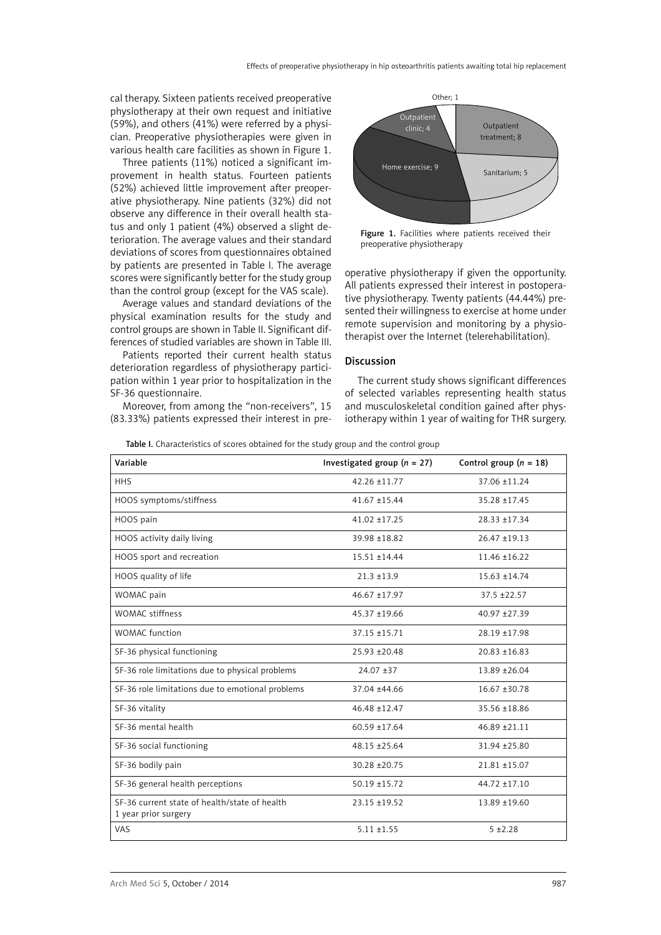cal therapy. Sixteen patients received preoperative physiotherapy at their own request and initiative (59%), and others (41%) were referred by a physician. Preoperative physiotherapies were given in various health care facilities as shown in Figure 1.

Three patients (11%) noticed a significant improvement in health status. Fourteen patients (52%) achieved little improvement after preoperative physiotherapy. Nine patients (32%) did not observe any difference in their overall health status and only 1 patient (4%) observed a slight deterioration. The average values and their standard deviations of scores from questionnaires obtained by patients are presented in Table I. The average scores were significantly better for the study group than the control group (except for the VAS scale).

Average values and standard deviations of the physical examination results for the study and control groups are shown in Table II. Significant differences of studied variables are shown in Table III.

Patients reported their current health status deterioration regardless of physiotherapy participation within 1 year prior to hospitalization in the SF-36 questionnaire.

Moreover, from among the "non-receivers", 15 (83.33%) patients expressed their interest in pre-



Figure 1. Facilities where patients received their preoperative physiotherapy

operative physiotherapy if given the opportunity. All patients expressed their interest in postoperative physiotherapy. Twenty patients (44.44%) presented their willingness to exercise at home under remote supervision and monitoring by a physiotherapist over the Internet (telerehabilitation).

# Discussion

The current study shows significant differences of selected variables representing health status and musculoskeletal condition gained after physiotherapy within 1 year of waiting for THR surgery.

Table I. Characteristics of scores obtained for the study group and the control group

| Variable                                                              | Investigated group ( $n = 27$ ) | Control group $(n = 18)$ |
|-----------------------------------------------------------------------|---------------------------------|--------------------------|
| <b>HHS</b>                                                            | $42.26 \pm 11.77$               | 37.06 ±11.24             |
| HOOS symptoms/stiffness                                               | $41.67 + 15.44$                 | 35.28 ±17.45             |
| HOOS pain                                                             | $41.02 + 17.25$                 | $28.33 + 17.34$          |
| HOOS activity daily living                                            | $39.98 + 18.82$                 | $26.47 \pm 19.13$        |
| HOOS sport and recreation                                             | $15.51 + 14.44$                 | $11.46 \pm 16.22$        |
| HOOS quality of life                                                  | $21.3 + 13.9$                   | $15.63 + 14.74$          |
| WOMAC pain                                                            | $46.67 + 17.97$                 | $37.5 + 22.57$           |
| <b>WOMAC</b> stiffness                                                | $45.37 \pm 19.66$               | 40.97 ±27.39             |
| <b>WOMAC</b> function                                                 | 37.15 ±15.71                    | 28.19 ±17.98             |
| SF-36 physical functioning                                            | $25.93 + 20.48$                 | $20.83 + 16.83$          |
| SF-36 role limitations due to physical problems                       | $24.07 + 37$                    | $13.89 + 26.04$          |
| SF-36 role limitations due to emotional problems                      | 37.04 ±44.66                    | $16.67 + 30.78$          |
| SF-36 vitality                                                        | $46.48 + 12.47$                 | 35.56 ±18.86             |
| SF-36 mental health                                                   | $60.59 + 17.64$                 | 46.89 ±21.11             |
| SF-36 social functioning                                              | $48.15 + 25.64$                 | 31.94 ± 25.80            |
| SF-36 bodily pain                                                     | $30.28 \pm 20.75$               | 21.81 ±15.07             |
| SF-36 general health perceptions                                      | $50.19 + 15.72$                 | $44.72 + 17.10$          |
| SF-36 current state of health/state of health<br>1 year prior surgery | $23.15 \pm 19.52$               | 13.89 ±19.60             |
| VAS                                                                   | $5.11 \pm 1.55$                 | $5 + 2.28$               |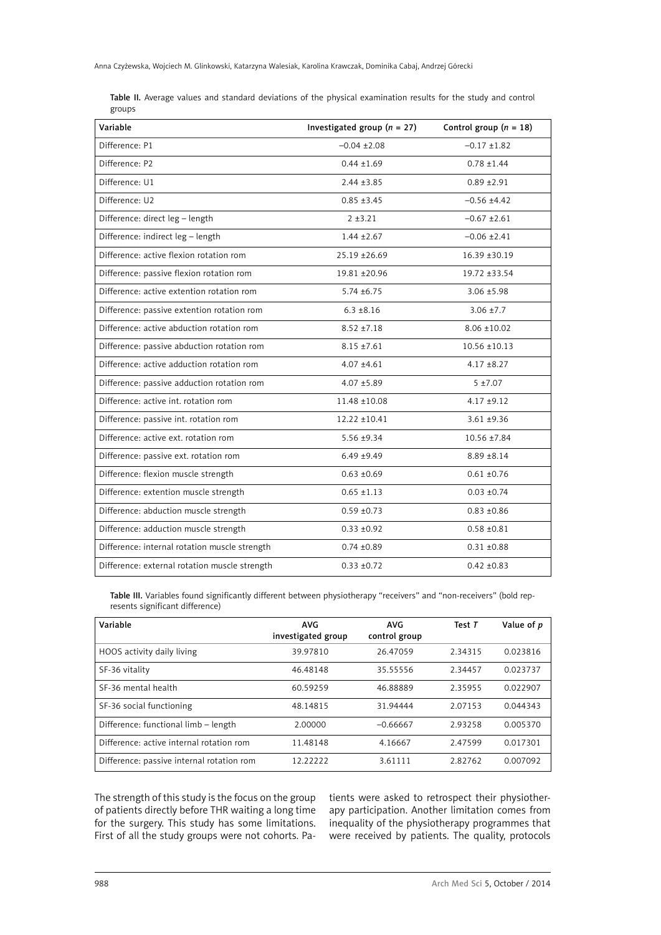|        |  |  |  | <b>Table II.</b> Average values and standard deviations of the physical examination results for the study and control |  |  |  |
|--------|--|--|--|-----------------------------------------------------------------------------------------------------------------------|--|--|--|
| groups |  |  |  |                                                                                                                       |  |  |  |

| Variable                                      | Investigated group ( $n = 27$ ) | Control group $(n = 18)$ |
|-----------------------------------------------|---------------------------------|--------------------------|
| Difference: P1                                | $-0.04 \pm 2.08$                | $-0.17 \pm 1.82$         |
| Difference: P2                                | $0.44 \pm 1.69$                 | $0.78 \pm 1.44$          |
| Difference: U1                                | $2.44 \pm 3.85$                 | $0.89 + 2.91$            |
| Difference: U2                                | $0.85 + 3.45$                   | $-0.56 \pm 4.42$         |
| Difference: direct leg - length               | $2 + 3.21$                      | $-0.67 + 2.61$           |
| Difference: indirect leg - length             | $1.44 \pm 2.67$                 | $-0.06 \pm 2.41$         |
| Difference: active flexion rotation rom       | 25.19 ± 26.69                   | $16.39 \pm 30.19$        |
| Difference: passive flexion rotation rom      | 19.81 ±20.96                    | 19.72 ±33.54             |
| Difference: active extention rotation rom     | $5.74 \pm 6.75$                 | $3.06 + 5.98$            |
| Difference: passive extention rotation rom    | $6.3 \pm 8.16$                  | $3.06 \pm 7.7$           |
| Difference: active abduction rotation rom     | $8.52 \pm 7.18$                 | $8.06 \pm 10.02$         |
| Difference: passive abduction rotation rom    | $8.15 \pm 7.61$                 | $10.56 \pm 10.13$        |
| Difference: active adduction rotation rom     | $4.07 + 4.61$                   | $4.17 \pm 8.27$          |
| Difference: passive adduction rotation rom    | $4.07 + 5.89$                   | $5 + 7.07$               |
| Difference: active int. rotation rom          | 11.48 ±10.08                    | $4.17 + 9.12$            |
| Difference: passive int. rotation rom         | 12.22 ±10.41                    | $3.61 + 9.36$            |
| Difference: active ext. rotation rom          | 5.56 ±9.34                      | $10.56 \pm 7.84$         |
| Difference: passive ext. rotation rom         | $6.49 + 9.49$                   | $8.89 + 8.14$            |
| Difference: flexion muscle strength           | $0.63 + 0.69$                   | $0.61 + 0.76$            |
| Difference: extention muscle strength         | $0.65 \pm 1.13$                 | $0.03 \pm 0.74$          |
| Difference: abduction muscle strength         | $0.59 + 0.73$                   | $0.83 + 0.86$            |
| Difference: adduction muscle strength         | $0.33 + 0.92$                   | $0.58 + 0.81$            |
| Difference: internal rotation muscle strength | $0.74 \pm 0.89$                 | $0.31 \pm 0.88$          |
| Difference: external rotation muscle strength | $0.33 + 0.72$                   | $0.42 \pm 0.83$          |

Table III. Variables found significantly different between physiotherapy "receivers" and "non-receivers" (bold represents significant difference)

| Variable                                  | <b>AVG</b><br>investigated group | <b>AVG</b><br>control group | Test $T$ | Value of p |
|-------------------------------------------|----------------------------------|-----------------------------|----------|------------|
| HOOS activity daily living                | 39.97810                         | 26.47059                    | 2.34315  | 0.023816   |
| SF-36 vitality                            | 46.48148                         | 35.55556                    | 2.34457  | 0.023737   |
| SF-36 mental health                       | 60.59259                         | 46.88889                    | 2.35955  | 0.022907   |
| SF-36 social functioning                  | 48.14815                         | 31.94444                    | 2.07153  | 0.044343   |
| Difference: functional limb - length      | 2.00000                          | $-0.66667$                  | 2.93258  | 0.005370   |
| Difference: active internal rotation rom  | 11.48148                         | 4.16667                     | 2.47599  | 0.017301   |
| Difference: passive internal rotation rom | 12.22222                         | 3.61111                     | 2.82762  | 0.007092   |

The strength of this study is the focus on the group of patients directly before THR waiting a long time for the surgery. This study has some limitations. First of all the study groups were not cohorts. Patients were asked to retrospect their physiotherapy participation. Another limitation comes from inequality of the physiotherapy programmes that were received by patients. The quality, protocols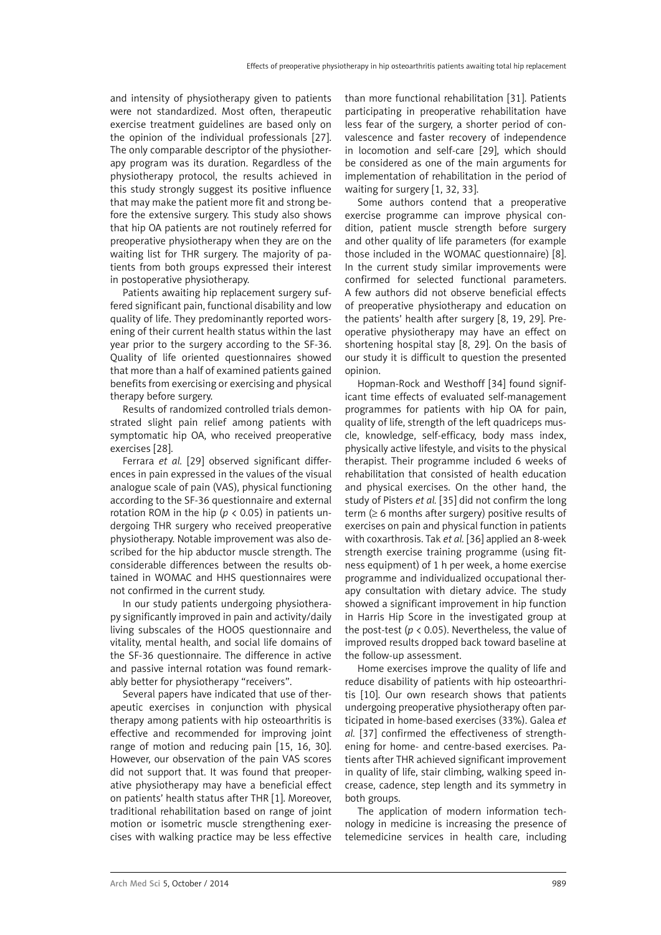and intensity of physiotherapy given to patients were not standardized. Most often, therapeutic exercise treatment guidelines are based only on the opinion of the individual professionals [27]. The only comparable descriptor of the physiotherapy program was its duration. Regardless of the physiotherapy protocol, the results achieved in this study strongly suggest its positive influence that may make the patient more fit and strong before the extensive surgery. This study also shows that hip OA patients are not routinely referred for preoperative physiotherapy when they are on the waiting list for THR surgery. The majority of patients from both groups expressed their interest in postoperative physiotherapy.

Patients awaiting hip replacement surgery suffered significant pain, functional disability and low quality of life. They predominantly reported worsening of their current health status within the last year prior to the surgery according to the SF-36. Quality of life oriented questionnaires showed that more than a half of examined patients gained benefits from exercising or exercising and physical therapy before surgery.

Results of randomized controlled trials demonstrated slight pain relief among patients with symptomatic hip OA, who received preoperative exercises [28].

Ferrara *et al.* [29] observed significant differences in pain expressed in the values of the visual analogue scale of pain (VAS), physical functioning according to the SF-36 questionnaire and external rotation ROM in the hip ( $p < 0.05$ ) in patients undergoing THR surgery who received preoperative physiotherapy. Notable improvement was also described for the hip abductor muscle strength. The considerable differences between the results obtained in WOMAC and HHS questionnaires were not confirmed in the current study.

In our study patients undergoing physiotherapy significantly improved in pain and activity/daily living subscales of the HOOS questionnaire and vitality, mental health, and social life domains of the SF-36 questionnaire. The difference in active and passive internal rotation was found remarkably better for physiotherapy "receivers".

Several papers have indicated that use of therapeutic exercises in conjunction with physical therapy among patients with hip osteoarthritis is effective and recommended for improving joint range of motion and reducing pain [15, 16, 30]. However, our observation of the pain VAS scores did not support that. It was found that preoperative physiotherapy may have a beneficial effect on patients' health status after THR [1]. Moreover, traditional rehabilitation based on range of joint motion or isometric muscle strengthening exercises with walking practice may be less effective than more functional rehabilitation [31]. Patients participating in preoperative rehabilitation have less fear of the surgery, a shorter period of convalescence and faster recovery of independence in locomotion and self-care [29], which should be considered as one of the main arguments for implementation of rehabilitation in the period of waiting for surgery [1, 32, 33].

Some authors contend that a preoperative exercise programme can improve physical condition, patient muscle strength before surgery and other quality of life parameters (for example those included in the WOMAC questionnaire) [8]. In the current study similar improvements were confirmed for selected functional parameters. A few authors did not observe beneficial effects of preoperative physiotherapy and education on the patients' health after surgery [8, 19, 29]. Preoperative physiotherapy may have an effect on shortening hospital stay [8, 29]. On the basis of our study it is difficult to question the presented opinion.

Hopman-Rock and Westhoff [34] found significant time effects of evaluated self-management programmes for patients with hip OA for pain, quality of life, strength of the left quadriceps muscle, knowledge, self-efficacy, body mass index, physically active lifestyle, and visits to the physical therapist. Their programme included 6 weeks of rehabilitation that consisted of health education and physical exercises. On the other hand, the study of Pisters *et al.* [35] did not confirm the long term  $(≥ 6$  months after surgery) positive results of exercises on pain and physical function in patients with coxarthrosis. Tak *et al.* [36] applied an 8-week strength exercise training programme (using fitness equipment) of 1 h per week, a home exercise programme and individualized occupational therapy consultation with dietary advice. The study showed a significant improvement in hip function in Harris Hip Score in the investigated group at the post-test (*p* < 0.05). Nevertheless, the value of improved results dropped back toward baseline at the follow-up assessment.

Home exercises improve the quality of life and reduce disability of patients with hip osteoarthritis [10]. Our own research shows that patients undergoing preoperative physiotherapy often participated in home-based exercises (33%). Galea *et al.* [37] confirmed the effectiveness of strengthening for home- and centre-based exercises. Patients after THR achieved significant improvement in quality of life, stair climbing, walking speed increase, cadence, step length and its symmetry in both groups.

The application of modern information technology in medicine is increasing the presence of telemedicine services in health care, including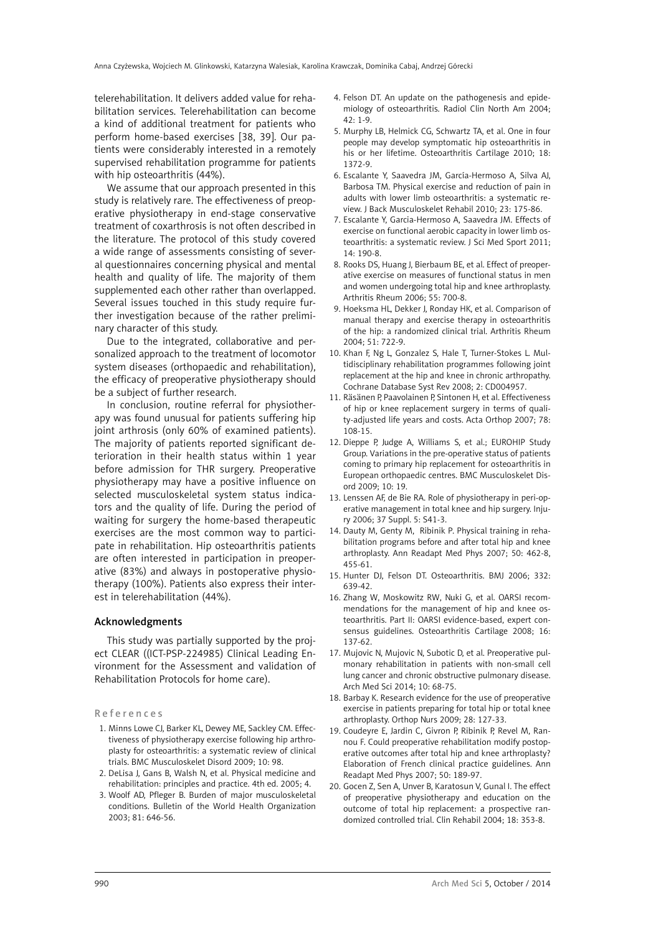telerehabilitation. It delivers added value for rehabilitation services. Telerehabilitation can become a kind of additional treatment for patients who perform home-based exercises [38, 39]. Our patients were considerably interested in a remotely supervised rehabilitation programme for patients with hip osteoarthritis (44%).

We assume that our approach presented in this study is relatively rare. The effectiveness of preoperative physiotherapy in end-stage conservative treatment of coxarthrosis is not often described in the literature. The protocol of this study covered a wide range of assessments consisting of several questionnaires concerning physical and mental health and quality of life. The majority of them supplemented each other rather than overlapped. Several issues touched in this study require further investigation because of the rather preliminary character of this study.

Due to the integrated, collaborative and personalized approach to the treatment of locomotor system diseases (orthopaedic and rehabilitation), the efficacy of preoperative physiotherapy should be a subject of further research.

In conclusion, routine referral for physiotherapy was found unusual for patients suffering hip joint arthrosis (only 60% of examined patients). The majority of patients reported significant deterioration in their health status within 1 year before admission for THR surgery. Preoperative physiotherapy may have a positive influence on selected musculoskeletal system status indicators and the quality of life. During the period of waiting for surgery the home-based therapeutic exercises are the most common way to participate in rehabilitation. Hip osteoarthritis patients are often interested in participation in preoperative (83%) and always in postoperative physiotherapy (100%). Patients also express their interest in telerehabilitation (44%).

## Acknowledgments

This study was partially supported by the project CLEAR ((ICT-PSP-224985) Clinical Leading Environment for the Assessment and validation of Rehabilitation Protocols for home care).

### References

- 1. Minns Lowe CJ, Barker KL, Dewey ME, Sackley CM. Effectiveness of physiotherapy exercise following hip arthroplasty for osteoarthritis: a systematic review of clinical trials. BMC Musculoskelet Disord 2009; 10: 98.
- 2. DeLisa J, Gans B, Walsh N, et al. Physical medicine and rehabilitation: principles and practice. 4th ed. 2005; 4.
- 3. Woolf AD, Pfleger B. Burden of major musculoskeletal conditions. Bulletin of the World Health Organization 2003; 81: 646-56.
- 4. Felson DT. An update on the pathogenesis and epidemiology of osteoarthritis. Radiol Clin North Am 2004;  $42 \cdot 1 - 9$
- 5. Murphy LB, Helmick CG, Schwartz TA, et al. One in four people may develop symptomatic hip osteoarthritis in his or her lifetime. Osteoarthritis Cartilage 2010; 18: 1372-9.
- 6. Escalante Y, Saavedra JM, García-Hermoso A, Silva AJ, Barbosa TM. Physical exercise and reduction of pain in adults with lower limb osteoarthritis: a systematic review. J Back Musculoskelet Rehabil 2010; 23: 175-86.
- 7. Escalante Y, Garcia-Hermoso A, Saavedra JM. Effects of exercise on functional aerobic capacity in lower limb osteoarthritis: a systematic review. J Sci Med Sport 2011; 14: 190-8.
- 8. Rooks DS, Huang J, Bierbaum BE, et al. Effect of preoperative exercise on measures of functional status in men and women undergoing total hip and knee arthroplasty. Arthritis Rheum 2006; 55: 700-8.
- 9. Hoeksma HL, Dekker J, Ronday HK, et al. Comparison of manual therapy and exercise therapy in osteoarthritis of the hip: a randomized clinical trial. Arthritis Rheum 2004; 51: 722-9.
- 10. Khan F, Ng L, Gonzalez S, Hale T, Turner-Stokes L. Multidisciplinary rehabilitation programmes following joint replacement at the hip and knee in chronic arthropathy. Cochrane Database Syst Rev 2008; 2: CD004957.
- 11. Räsänen P, Paavolainen P, Sintonen H, et al. Effectiveness of hip or knee replacement surgery in terms of quality-adjusted life years and costs. Acta Orthop 2007; 78: 108-15.
- 12. Dieppe P, Judge A, Williams S, et al.; EUROHIP Study Group. Variations in the pre-operative status of patients coming to primary hip replacement for osteoarthritis in European orthopaedic centres. BMC Musculoskelet Disord 2009; 10: 19.
- 13. Lenssen AF, de Bie RA. Role of physiotherapy in peri-operative management in total knee and hip surgery. Injury 2006; 37 Suppl. 5: S41-3.
- 14. Dauty M, Genty M, Ribinik P. Physical training in rehabilitation programs before and after total hip and knee arthroplasty. Ann Readapt Med Phys 2007; 50: 462-8, 455-61.
- 15. Hunter DJ, Felson DT. Osteoarthritis. BMJ 2006; 332: 639-42.
- 16. Zhang W, Moskowitz RW, Nuki G, et al. OARSI recommendations for the management of hip and knee osteoarthritis. Part II: OARSI evidence-based, expert consensus guidelines. Osteoarthritis Cartilage 2008; 16: 137-62.
- 17. Mujovic N, Mujovic N, Subotic D, et al. Preoperative pulmonary rehabilitation in patients with non-small cell lung cancer and chronic obstructive pulmonary disease. Arch Med Sci 2014; 10: 68-75.
- 18. Barbay K. Research evidence for the use of preoperative exercise in patients preparing for total hip or total knee arthroplasty. Orthop Nurs 2009; 28: 127-33.
- 19. Coudeyre E, Jardin C, Givron P, Ribinik P, Revel M, Rannou F. Could preoperative rehabilitation modify postoperative outcomes after total hip and knee arthroplasty? Elaboration of French clinical practice guidelines. Ann Readapt Med Phys 2007; 50: 189-97.
- 20. Gocen Z, Sen A, Unver B, Karatosun V, Gunal I. The effect of preoperative physiotherapy and education on the outcome of total hip replacement: a prospective randomized controlled trial. Clin Rehabil 2004; 18: 353-8.